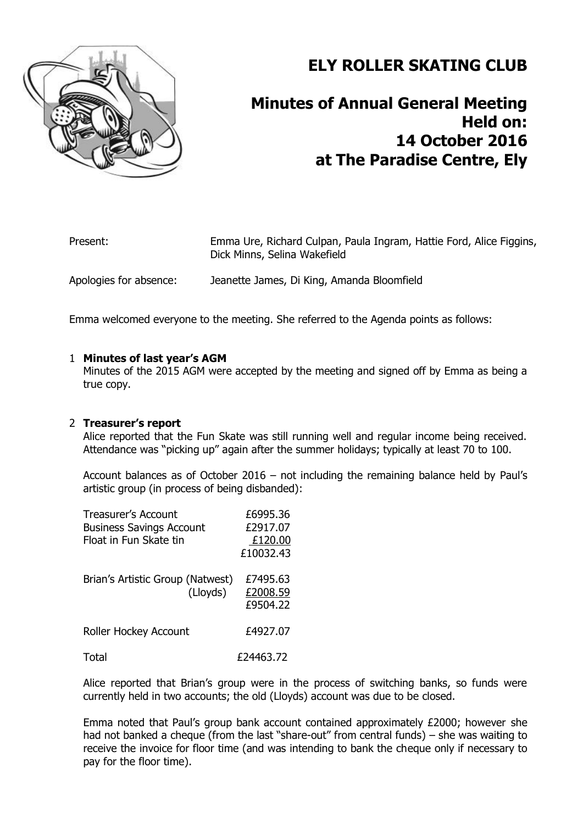**ELY ROLLER SKATING CLUB**



## **Minutes of Annual General Meeting Held on: 14 October 2016 at The Paradise Centre, Ely**

| Present:               | Emma Ure, Richard Culpan, Paula Ingram, Hattie Ford, Alice Figgins,<br>Dick Minns, Selina Wakefield |
|------------------------|-----------------------------------------------------------------------------------------------------|
| Apologies for absence: | Jeanette James, Di King, Amanda Bloomfield                                                          |

Emma welcomed everyone to the meeting. She referred to the Agenda points as follows:

### 1 **Minutes of last year's AGM**

Minutes of the 2015 AGM were accepted by the meeting and signed off by Emma as being a true copy.

### 2 **Treasurer's report**

Alice reported that the Fun Skate was still running well and regular income being received. Attendance was "picking up" again after the summer holidays; typically at least 70 to 100.

Account balances as of October 2016 – not including the remaining balance held by Paul's artistic group (in process of being disbanded):

| <b>Treasurer's Account</b>       |          | £6995.36  |
|----------------------------------|----------|-----------|
| <b>Business Savings Account</b>  |          | £2917.07  |
| Float in Fun Skate tin           |          | £120.00   |
|                                  |          | £10032.43 |
|                                  |          |           |
| Brian's Artistic Group (Natwest) |          | £7495.63  |
|                                  | (Lloyds) | £2008.59  |
|                                  |          | £9504.22  |
|                                  |          |           |
| Roller Hockey Account            |          | £4927.07  |
|                                  |          |           |
| Total                            |          | £24463.72 |

Alice reported that Brian's group were in the process of switching banks, so funds were currently held in two accounts; the old (Lloyds) account was due to be closed.

Emma noted that Paul's group bank account contained approximately £2000; however she had not banked a cheque (from the last "share-out" from central funds) – she was waiting to receive the invoice for floor time (and was intending to bank the cheque only if necessary to pay for the floor time).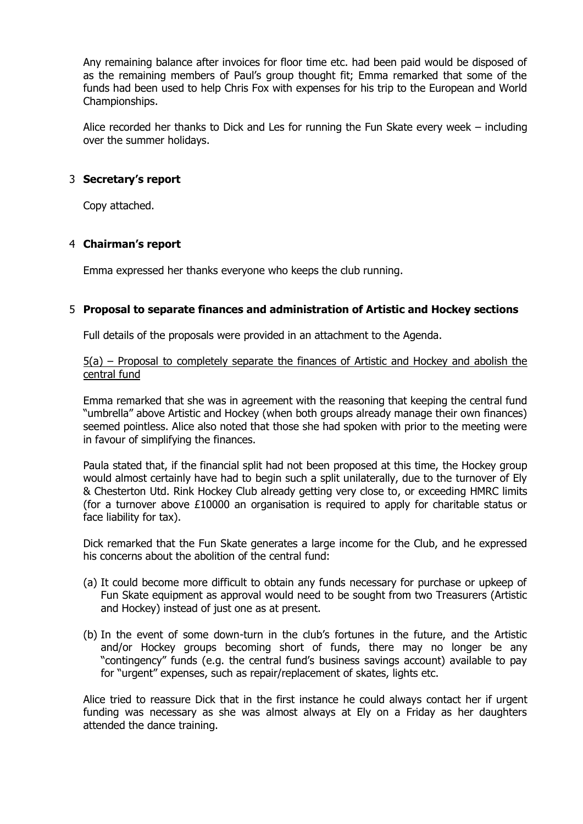Any remaining balance after invoices for floor time etc. had been paid would be disposed of as the remaining members of Paul's group thought fit; Emma remarked that some of the funds had been used to help Chris Fox with expenses for his trip to the European and World Championships.

Alice recorded her thanks to Dick and Les for running the Fun Skate every week – including over the summer holidays.

### 3 **Secretary's report**

Copy attached.

### 4 **Chairman's report**

Emma expressed her thanks everyone who keeps the club running.

### 5 **Proposal to separate finances and administration of Artistic and Hockey sections**

Full details of the proposals were provided in an attachment to the Agenda.

5(a) – Proposal to completely separate the finances of Artistic and Hockey and abolish the central fund

Emma remarked that she was in agreement with the reasoning that keeping the central fund "umbrella" above Artistic and Hockey (when both groups already manage their own finances) seemed pointless. Alice also noted that those she had spoken with prior to the meeting were in favour of simplifying the finances.

Paula stated that, if the financial split had not been proposed at this time, the Hockey group would almost certainly have had to begin such a split unilaterally, due to the turnover of Ely & Chesterton Utd. Rink Hockey Club already getting very close to, or exceeding HMRC limits (for a turnover above £10000 an organisation is required to apply for charitable status or face liability for tax).

Dick remarked that the Fun Skate generates a large income for the Club, and he expressed his concerns about the abolition of the central fund:

- (a) It could become more difficult to obtain any funds necessary for purchase or upkeep of Fun Skate equipment as approval would need to be sought from two Treasurers (Artistic and Hockey) instead of just one as at present.
- (b) In the event of some down-turn in the club's fortunes in the future, and the Artistic and/or Hockey groups becoming short of funds, there may no longer be any "contingency" funds (e.g. the central fund's business savings account) available to pay for "urgent" expenses, such as repair/replacement of skates, lights etc.

Alice tried to reassure Dick that in the first instance he could always contact her if urgent funding was necessary as she was almost always at Ely on a Friday as her daughters attended the dance training.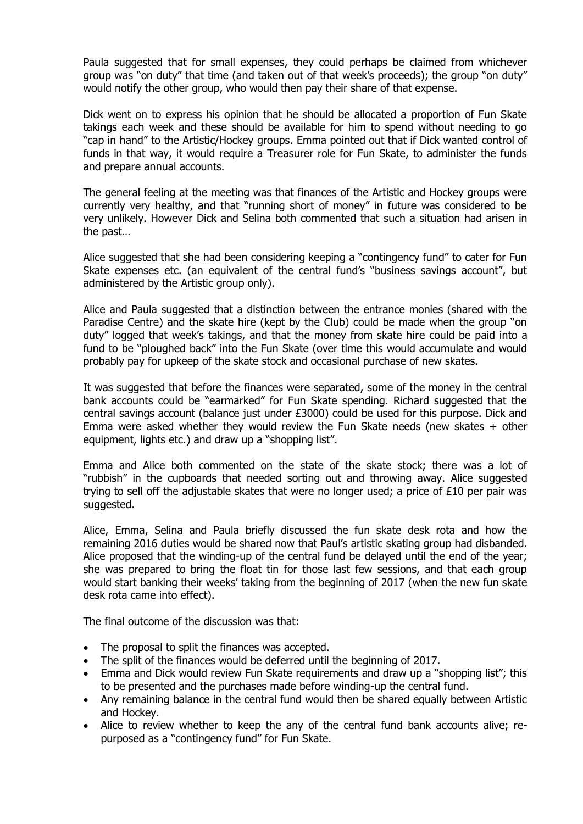Paula suggested that for small expenses, they could perhaps be claimed from whichever group was "on duty" that time (and taken out of that week's proceeds); the group "on duty" would notify the other group, who would then pay their share of that expense.

Dick went on to express his opinion that he should be allocated a proportion of Fun Skate takings each week and these should be available for him to spend without needing to go "cap in hand" to the Artistic/Hockey groups. Emma pointed out that if Dick wanted control of funds in that way, it would require a Treasurer role for Fun Skate, to administer the funds and prepare annual accounts.

The general feeling at the meeting was that finances of the Artistic and Hockey groups were currently very healthy, and that "running short of money" in future was considered to be very unlikely. However Dick and Selina both commented that such a situation had arisen in the past…

Alice suggested that she had been considering keeping a "contingency fund" to cater for Fun Skate expenses etc. (an equivalent of the central fund's "business savings account", but administered by the Artistic group only).

Alice and Paula suggested that a distinction between the entrance monies (shared with the Paradise Centre) and the skate hire (kept by the Club) could be made when the group "on duty" logged that week's takings, and that the money from skate hire could be paid into a fund to be "ploughed back" into the Fun Skate (over time this would accumulate and would probably pay for upkeep of the skate stock and occasional purchase of new skates.

It was suggested that before the finances were separated, some of the money in the central bank accounts could be "earmarked" for Fun Skate spending. Richard suggested that the central savings account (balance just under £3000) could be used for this purpose. Dick and Emma were asked whether they would review the Fun Skate needs (new skates  $+$  other equipment, lights etc.) and draw up a "shopping list".

Emma and Alice both commented on the state of the skate stock; there was a lot of "rubbish" in the cupboards that needed sorting out and throwing away. Alice suggested trying to sell off the adjustable skates that were no longer used; a price of  $£10$  per pair was suggested.

Alice, Emma, Selina and Paula briefly discussed the fun skate desk rota and how the remaining 2016 duties would be shared now that Paul's artistic skating group had disbanded. Alice proposed that the winding-up of the central fund be delayed until the end of the year; she was prepared to bring the float tin for those last few sessions, and that each group would start banking their weeks' taking from the beginning of 2017 (when the new fun skate desk rota came into effect).

The final outcome of the discussion was that:

- The proposal to split the finances was accepted.
- The split of the finances would be deferred until the beginning of 2017.
- Emma and Dick would review Fun Skate requirements and draw up a "shopping list"; this to be presented and the purchases made before winding-up the central fund.
- Any remaining balance in the central fund would then be shared equally between Artistic and Hockey.
- Alice to review whether to keep the any of the central fund bank accounts alive; repurposed as a "contingency fund" for Fun Skate.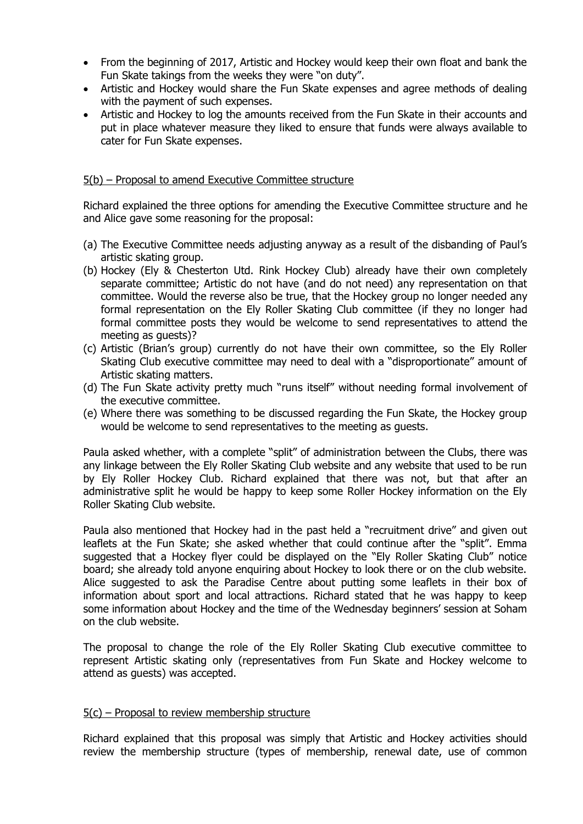- From the beginning of 2017, Artistic and Hockey would keep their own float and bank the Fun Skate takings from the weeks they were "on duty".
- Artistic and Hockey would share the Fun Skate expenses and agree methods of dealing with the payment of such expenses.
- Artistic and Hockey to log the amounts received from the Fun Skate in their accounts and put in place whatever measure they liked to ensure that funds were always available to cater for Fun Skate expenses.

### 5(b) – Proposal to amend Executive Committee structure

Richard explained the three options for amending the Executive Committee structure and he and Alice gave some reasoning for the proposal:

- (a) The Executive Committee needs adjusting anyway as a result of the disbanding of Paul's artistic skating group.
- (b) Hockey (Ely & Chesterton Utd. Rink Hockey Club) already have their own completely separate committee; Artistic do not have (and do not need) any representation on that committee. Would the reverse also be true, that the Hockey group no longer needed any formal representation on the Ely Roller Skating Club committee (if they no longer had formal committee posts they would be welcome to send representatives to attend the meeting as quests)?
- (c) Artistic (Brian's group) currently do not have their own committee, so the Ely Roller Skating Club executive committee may need to deal with a "disproportionate" amount of Artistic skating matters.
- (d) The Fun Skate activity pretty much "runs itself" without needing formal involvement of the executive committee.
- (e) Where there was something to be discussed regarding the Fun Skate, the Hockey group would be welcome to send representatives to the meeting as guests.

Paula asked whether, with a complete "split" of administration between the Clubs, there was any linkage between the Ely Roller Skating Club website and any website that used to be run by Ely Roller Hockey Club. Richard explained that there was not, but that after an administrative split he would be happy to keep some Roller Hockey information on the Ely Roller Skating Club website.

Paula also mentioned that Hockey had in the past held a "recruitment drive" and given out leaflets at the Fun Skate; she asked whether that could continue after the "split". Emma suggested that a Hockey flyer could be displayed on the "Ely Roller Skating Club" notice board; she already told anyone enquiring about Hockey to look there or on the club website. Alice suggested to ask the Paradise Centre about putting some leaflets in their box of information about sport and local attractions. Richard stated that he was happy to keep some information about Hockey and the time of the Wednesday beginners' session at Soham on the club website.

The proposal to change the role of the Ely Roller Skating Club executive committee to represent Artistic skating only (representatives from Fun Skate and Hockey welcome to attend as guests) was accepted.

### 5(c) – Proposal to review membership structure

Richard explained that this proposal was simply that Artistic and Hockey activities should review the membership structure (types of membership, renewal date, use of common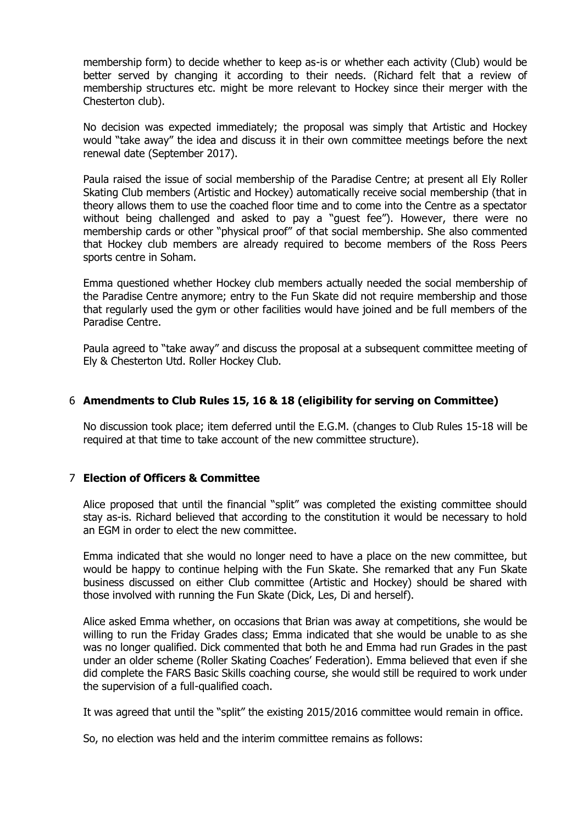membership form) to decide whether to keep as-is or whether each activity (Club) would be better served by changing it according to their needs. (Richard felt that a review of membership structures etc. might be more relevant to Hockey since their merger with the Chesterton club).

No decision was expected immediately; the proposal was simply that Artistic and Hockey would "take away" the idea and discuss it in their own committee meetings before the next renewal date (September 2017).

Paula raised the issue of social membership of the Paradise Centre; at present all Ely Roller Skating Club members (Artistic and Hockey) automatically receive social membership (that in theory allows them to use the coached floor time and to come into the Centre as a spectator without being challenged and asked to pay a "guest fee"). However, there were no membership cards or other "physical proof" of that social membership. She also commented that Hockey club members are already required to become members of the Ross Peers sports centre in Soham.

Emma questioned whether Hockey club members actually needed the social membership of the Paradise Centre anymore; entry to the Fun Skate did not require membership and those that regularly used the gym or other facilities would have joined and be full members of the Paradise Centre.

Paula agreed to "take away" and discuss the proposal at a subsequent committee meeting of Ely & Chesterton Utd. Roller Hockey Club.

### 6 **Amendments to Club Rules 15, 16 & 18 (eligibility for serving on Committee)**

No discussion took place; item deferred until the E.G.M. (changes to Club Rules 15-18 will be required at that time to take account of the new committee structure).

### 7 **Election of Officers & Committee**

Alice proposed that until the financial "split" was completed the existing committee should stay as-is. Richard believed that according to the constitution it would be necessary to hold an EGM in order to elect the new committee.

Emma indicated that she would no longer need to have a place on the new committee, but would be happy to continue helping with the Fun Skate. She remarked that any Fun Skate business discussed on either Club committee (Artistic and Hockey) should be shared with those involved with running the Fun Skate (Dick, Les, Di and herself).

Alice asked Emma whether, on occasions that Brian was away at competitions, she would be willing to run the Friday Grades class; Emma indicated that she would be unable to as she was no longer qualified. Dick commented that both he and Emma had run Grades in the past under an older scheme (Roller Skating Coaches' Federation). Emma believed that even if she did complete the FARS Basic Skills coaching course, she would still be required to work under the supervision of a full-qualified coach.

It was agreed that until the "split" the existing 2015/2016 committee would remain in office.

So, no election was held and the interim committee remains as follows: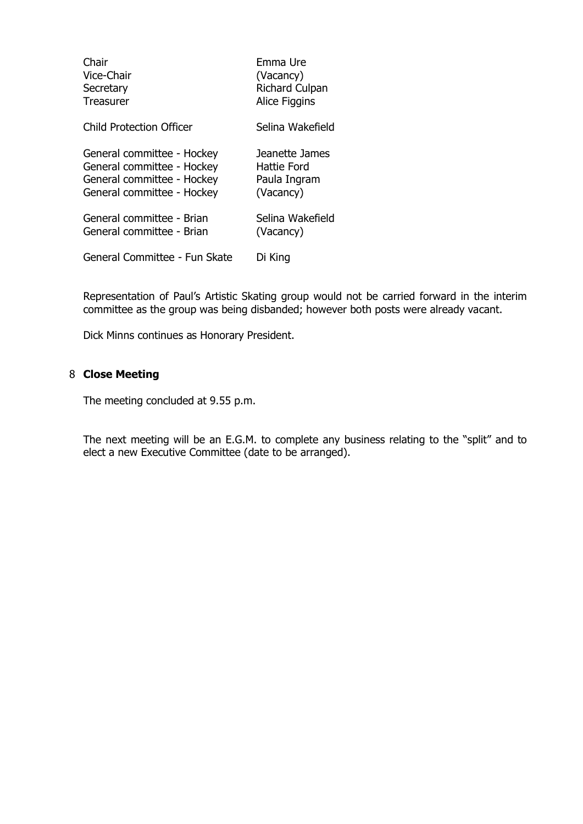| Chair                         | Emma Ure              |
|-------------------------------|-----------------------|
| Vice-Chair                    | (Vacancy)             |
| Secretary                     | <b>Richard Culpan</b> |
| Treasurer                     | <b>Alice Figgins</b>  |
| Child Protection Officer      | Selina Wakefield      |
| General committee - Hockey    | Jeanette James        |
| General committee - Hockey    | Hattie Ford           |
| General committee - Hockey    | Paula Ingram          |
| General committee - Hockey    | (Vacancy)             |
| General committee - Brian     | Selina Wakefield      |
| General committee - Brian     | (Vacancy)             |
| General Committee - Fun Skate | Di King               |

Representation of Paul's Artistic Skating group would not be carried forward in the interim committee as the group was being disbanded; however both posts were already vacant.

Dick Minns continues as Honorary President.

### 8 **Close Meeting**

The meeting concluded at 9.55 p.m.

The next meeting will be an E.G.M. to complete any business relating to the "split" and to elect a new Executive Committee (date to be arranged).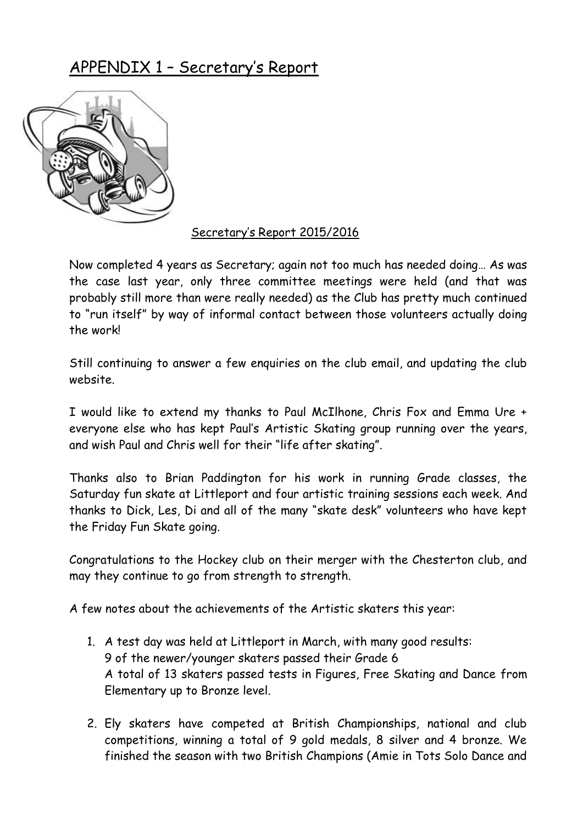## APPENDIX 1 – Secretary's Report



### Secretary's Report 2015/2016

Now completed 4 years as Secretary; again not too much has needed doing… As was the case last year, only three committee meetings were held (and that was probably still more than were really needed) as the Club has pretty much continued to "run itself" by way of informal contact between those volunteers actually doing the work!

Still continuing to answer a few enquiries on the club email, and updating the club website.

I would like to extend my thanks to Paul McIlhone, Chris Fox and Emma Ure + everyone else who has kept Paul's Artistic Skating group running over the years, and wish Paul and Chris well for their "life after skating".

Thanks also to Brian Paddington for his work in running Grade classes, the Saturday fun skate at Littleport and four artistic training sessions each week. And thanks to Dick, Les, Di and all of the many "skate desk" volunteers who have kept the Friday Fun Skate going.

Congratulations to the Hockey club on their merger with the Chesterton club, and may they continue to go from strength to strength.

A few notes about the achievements of the Artistic skaters this year:

- 1. A test day was held at Littleport in March, with many good results: 9 of the newer/younger skaters passed their Grade 6 A total of 13 skaters passed tests in Figures, Free Skating and Dance from Elementary up to Bronze level.
- 2. Ely skaters have competed at British Championships, national and club competitions, winning a total of 9 gold medals, 8 silver and 4 bronze. We finished the season with two British Champions (Amie in Tots Solo Dance and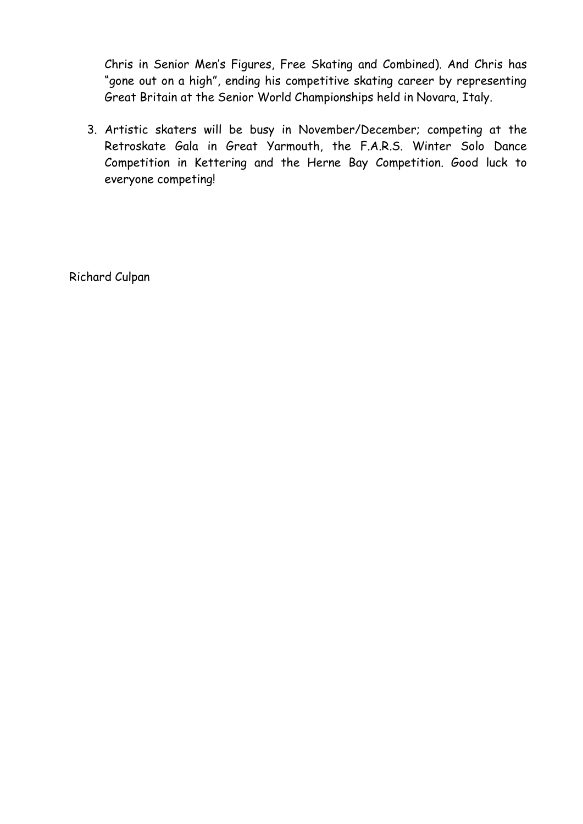Chris in Senior Men's Figures, Free Skating and Combined). And Chris has "gone out on a high", ending his competitive skating career by representing Great Britain at the Senior World Championships held in Novara, Italy.

3. Artistic skaters will be busy in November/December; competing at the Retroskate Gala in Great Yarmouth, the F.A.R.S. Winter Solo Dance Competition in Kettering and the Herne Bay Competition. Good luck to everyone competing!

Richard Culpan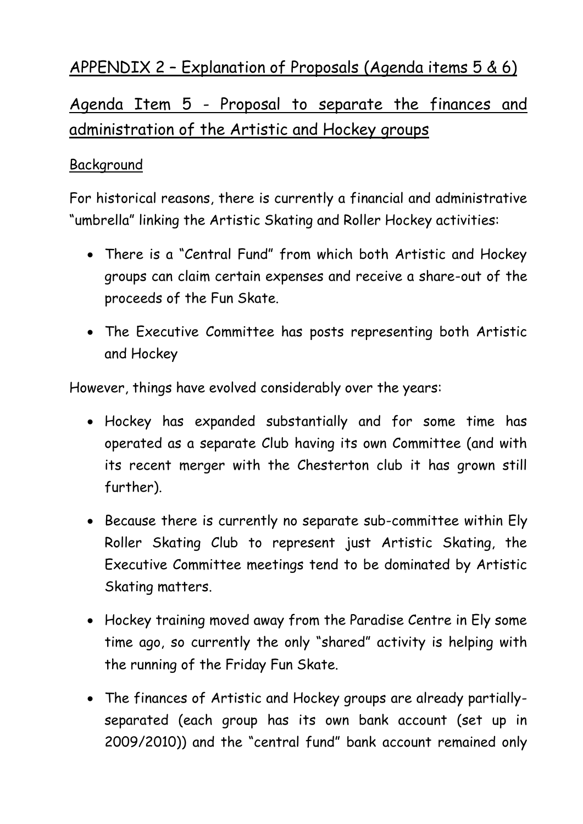# APPENDIX 2 – Explanation of Proposals (Agenda items 5 & 6)

# Agenda Item 5 - Proposal to separate the finances and administration of the Artistic and Hockey groups

## Background

For historical reasons, there is currently a financial and administrative "umbrella" linking the Artistic Skating and Roller Hockey activities:

- There is a "Central Fund" from which both Artistic and Hockey groups can claim certain expenses and receive a share-out of the proceeds of the Fun Skate.
- The Executive Committee has posts representing both Artistic and Hockey

However, things have evolved considerably over the years:

- Hockey has expanded substantially and for some time has operated as a separate Club having its own Committee (and with its recent merger with the Chesterton club it has grown still further).
- Because there is currently no separate sub-committee within Ely Roller Skating Club to represent just Artistic Skating, the Executive Committee meetings tend to be dominated by Artistic Skating matters.
- Hockey training moved away from the Paradise Centre in Ely some time ago, so currently the only "shared" activity is helping with the running of the Friday Fun Skate.
- The finances of Artistic and Hockey groups are already partiallyseparated (each group has its own bank account (set up in 2009/2010)) and the "central fund" bank account remained only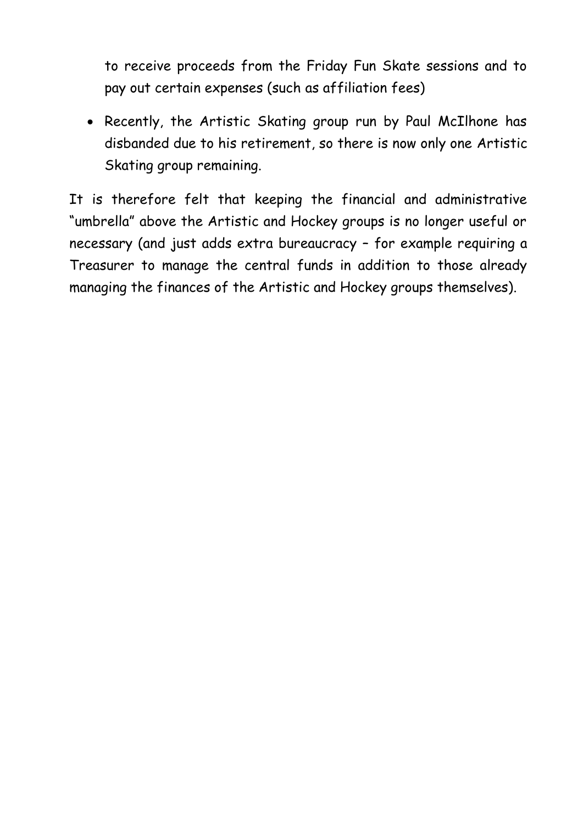to receive proceeds from the Friday Fun Skate sessions and to pay out certain expenses (such as affiliation fees)

• Recently, the Artistic Skating group run by Paul McIlhone has disbanded due to his retirement, so there is now only one Artistic Skating group remaining.

It is therefore felt that keeping the financial and administrative "umbrella" above the Artistic and Hockey groups is no longer useful or necessary (and just adds extra bureaucracy – for example requiring a Treasurer to manage the central funds in addition to those already managing the finances of the Artistic and Hockey groups themselves).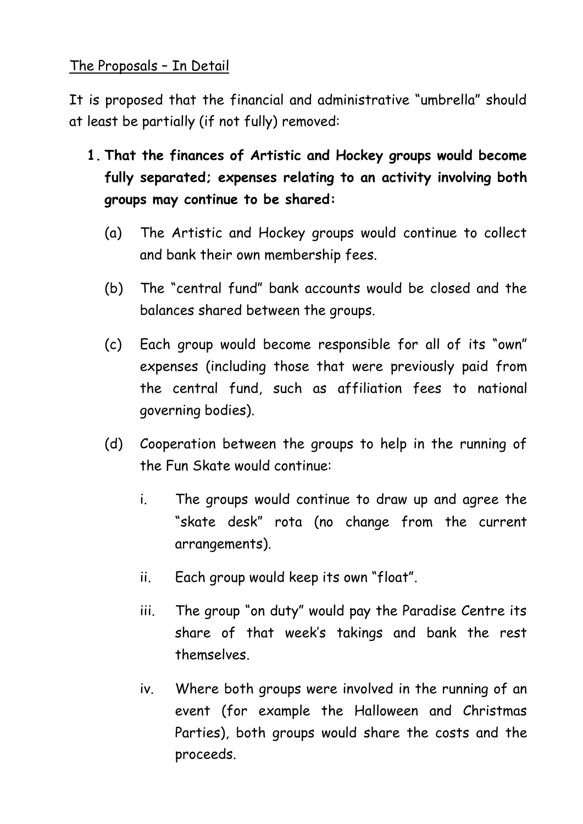## The Proposals – In Detail

It is proposed that the financial and administrative "umbrella" should at least be partially (if not fully) removed:

- **1. That the finances of Artistic and Hockey groups would become fully separated; expenses relating to an activity involving both groups may continue to be shared:**
	- (a) The Artistic and Hockey groups would continue to collect and bank their own membership fees.
	- (b) The "central fund" bank accounts would be closed and the balances shared between the groups.
	- (c) Each group would become responsible for all of its "own" expenses (including those that were previously paid from the central fund, such as affiliation fees to national governing bodies).
	- (d) Cooperation between the groups to help in the running of the Fun Skate would continue:
		- i. The groups would continue to draw up and agree the "skate desk" rota (no change from the current arrangements).
		- ii. Each group would keep its own "float".
		- iii. The group "on duty" would pay the Paradise Centre its share of that week's takings and bank the rest themselves.
		- iv. Where both groups were involved in the running of an event (for example the Halloween and Christmas Parties), both groups would share the costs and the proceeds.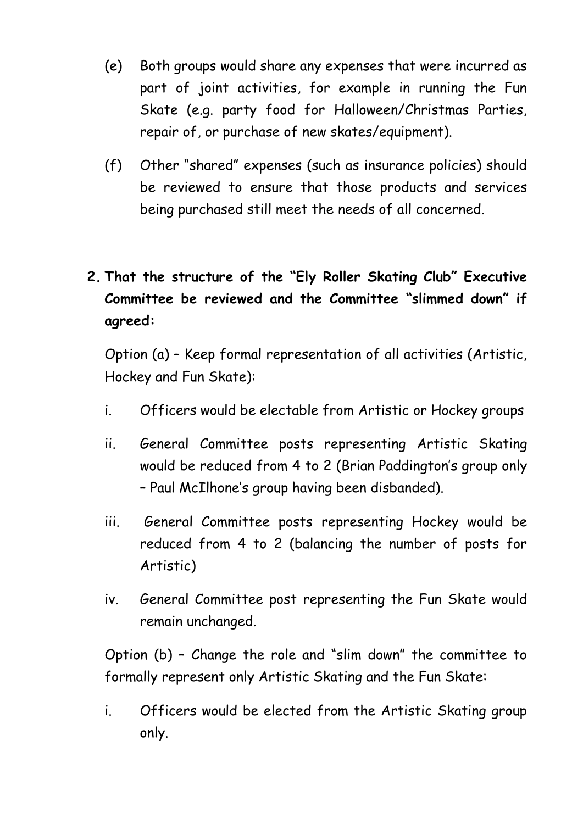- (e) Both groups would share any expenses that were incurred as part of joint activities, for example in running the Fun Skate (e.g. party food for Halloween/Christmas Parties, repair of, or purchase of new skates/equipment).
- (f) Other "shared" expenses (such as insurance policies) should be reviewed to ensure that those products and services being purchased still meet the needs of all concerned.

# **2. That the structure of the "Ely Roller Skating Club" Executive Committee be reviewed and the Committee "slimmed down" if agreed:**

Option (a) – Keep formal representation of all activities (Artistic, Hockey and Fun Skate):

- i. Officers would be electable from Artistic or Hockey groups
- ii. General Committee posts representing Artistic Skating would be reduced from 4 to 2 (Brian Paddington's group only – Paul McIlhone's group having been disbanded).
- iii. General Committee posts representing Hockey would be reduced from 4 to 2 (balancing the number of posts for Artistic)
- iv. General Committee post representing the Fun Skate would remain unchanged.

Option (b) – Change the role and "slim down" the committee to formally represent only Artistic Skating and the Fun Skate:

i. Officers would be elected from the Artistic Skating group only.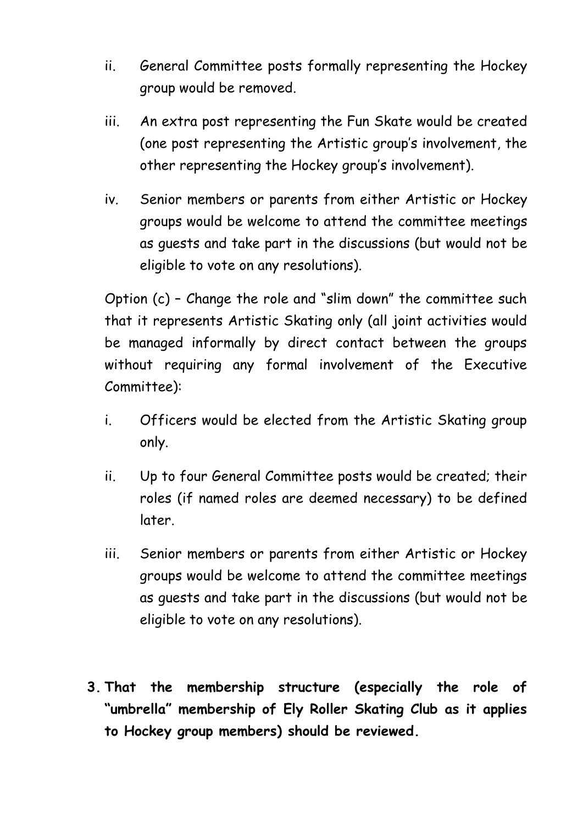- ii. General Committee posts formally representing the Hockey group would be removed.
- iii. An extra post representing the Fun Skate would be created (one post representing the Artistic group's involvement, the other representing the Hockey group's involvement).
- iv. Senior members or parents from either Artistic or Hockey groups would be welcome to attend the committee meetings as guests and take part in the discussions (but would not be eligible to vote on any resolutions).

Option (c) – Change the role and "slim down" the committee such that it represents Artistic Skating only (all joint activities would be managed informally by direct contact between the groups without requiring any formal involvement of the Executive Committee):

- i. Officers would be elected from the Artistic Skating group only.
- ii. Up to four General Committee posts would be created; their roles (if named roles are deemed necessary) to be defined later.
- iii. Senior members or parents from either Artistic or Hockey groups would be welcome to attend the committee meetings as guests and take part in the discussions (but would not be eligible to vote on any resolutions).
- **3. That the membership structure (especially the role of "umbrella" membership of Ely Roller Skating Club as it applies to Hockey group members) should be reviewed.**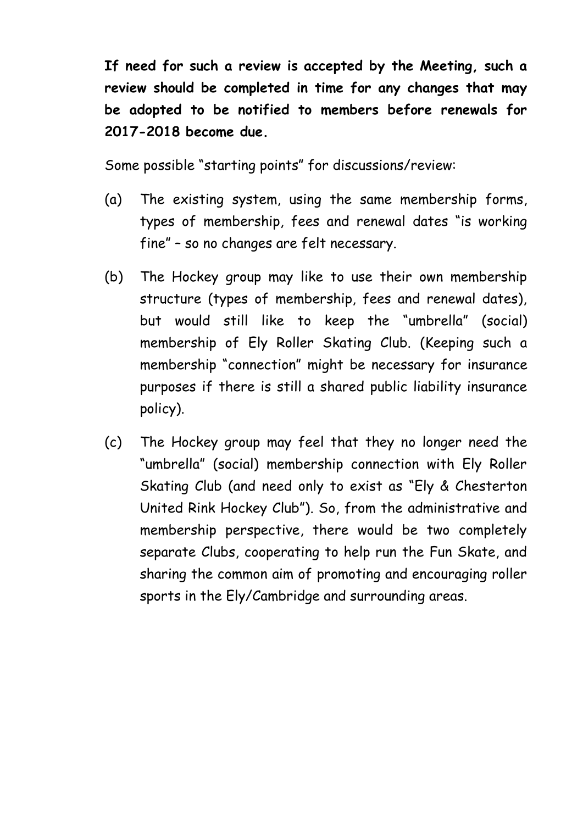**If need for such a review is accepted by the Meeting, such a review should be completed in time for any changes that may be adopted to be notified to members before renewals for 2017-2018 become due.**

Some possible "starting points" for discussions/review:

- (a) The existing system, using the same membership forms, types of membership, fees and renewal dates "is working fine" – so no changes are felt necessary.
- (b) The Hockey group may like to use their own membership structure (types of membership, fees and renewal dates), but would still like to keep the "umbrella" (social) membership of Ely Roller Skating Club. (Keeping such a membership "connection" might be necessary for insurance purposes if there is still a shared public liability insurance policy).
- (c) The Hockey group may feel that they no longer need the "umbrella" (social) membership connection with Ely Roller Skating Club (and need only to exist as "Ely & Chesterton United Rink Hockey Club"). So, from the administrative and membership perspective, there would be two completely separate Clubs, cooperating to help run the Fun Skate, and sharing the common aim of promoting and encouraging roller sports in the Ely/Cambridge and surrounding areas.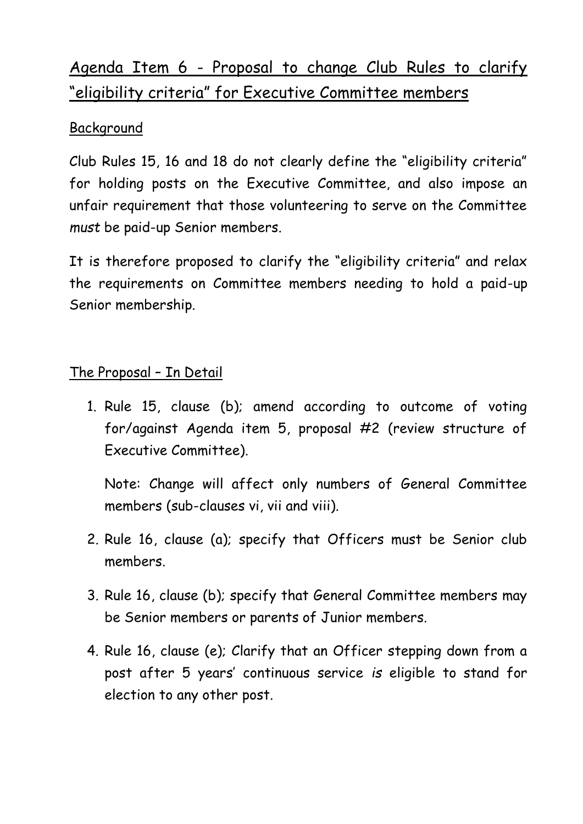# Agenda Item 6 - Proposal to change Club Rules to clarify "eligibility criteria" for Executive Committee members

## Background

Club Rules 15, 16 and 18 do not clearly define the "eligibility criteria" for holding posts on the Executive Committee, and also impose an unfair requirement that those volunteering to serve on the Committee *must* be paid-up Senior members.

It is therefore proposed to clarify the "eligibility criteria" and relax the requirements on Committee members needing to hold a paid-up Senior membership.

## The Proposal – In Detail

1. Rule 15, clause (b); amend according to outcome of voting for/against Agenda item 5, proposal #2 (review structure of Executive Committee).

Note: Change will affect only numbers of General Committee members (sub-clauses vi, vii and viii).

- 2. Rule 16, clause (a); specify that Officers must be Senior club members.
- 3. Rule 16, clause (b); specify that General Committee members may be Senior members or parents of Junior members.
- 4. Rule 16, clause (e); Clarify that an Officer stepping down from a post after 5 years' continuous service *is* eligible to stand for election to any other post.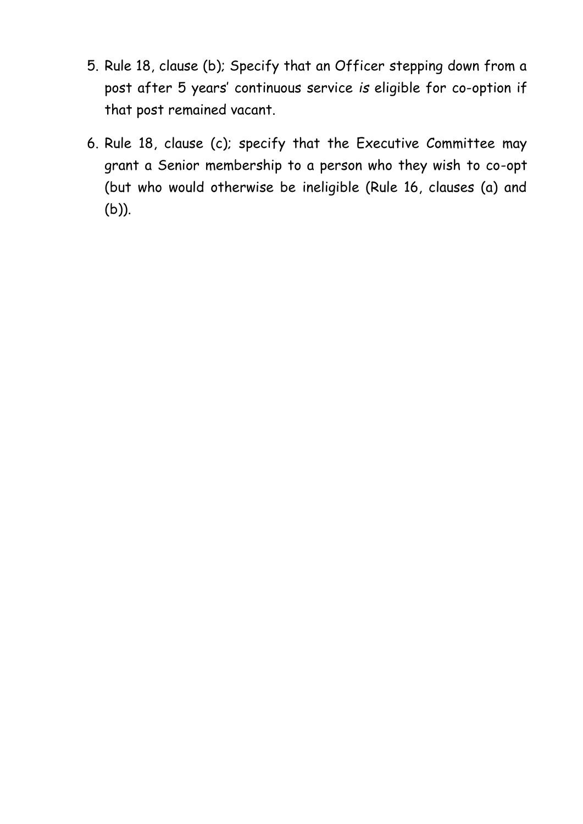- 5. Rule 18, clause (b); Specify that an Officer stepping down from a post after 5 years' continuous service *is* eligible for co-option if that post remained vacant.
- 6. Rule 18, clause (c); specify that the Executive Committee may grant a Senior membership to a person who they wish to co-opt (but who would otherwise be ineligible (Rule 16, clauses (a) and (b)).